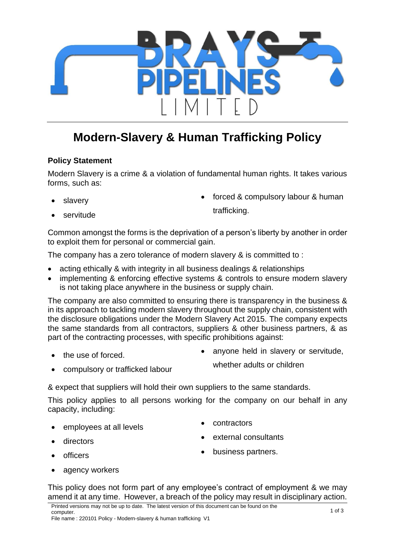

# **Modern-Slavery & Human Trafficking Policy**

# **Policy Statement**

Modern Slavery is a crime & a violation of fundamental human rights. It takes various forms, such as:

slaver<sub>v</sub>

• forced & compulsory labour & human trafficking.

servitude

Common amongst the forms is the deprivation of a person's liberty by another in order to exploit them for personal or commercial gain.

The company has a zero tolerance of modern slavery & is committed to :

- acting ethically & with integrity in all business dealings & relationships
- implementing & enforcing effective systems & controls to ensure modern slavery is not taking place anywhere in the business or supply chain.

The company are also committed to ensuring there is transparency in the business & in its approach to tackling modern slavery throughout the supply chain, consistent with the disclosure obligations under the Modern Slavery Act 2015. The company expects the same standards from all contractors, suppliers & other business partners, & as part of the contracting processes, with specific prohibitions against:

the use of forced.

• anyone held in slavery or servitude,

whether adults or children

• compulsory or trafficked labour

& expect that suppliers will hold their own suppliers to the same standards.

This policy applies to all persons working for the company on our behalf in any capacity, including:

- employees at all levels
- contractors

• directors

external consultants

• business partners.

- officers
	- agency workers

This policy does not form part of any employee's contract of employment & we may amend it at any time. However, a breach of the policy may result in disciplinary action.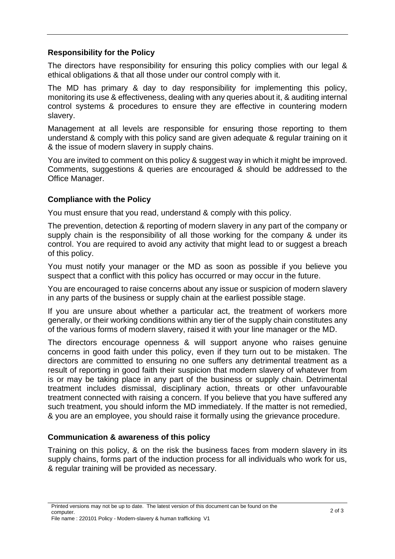## **Responsibility for the Policy**

The directors have responsibility for ensuring this policy complies with our legal & ethical obligations & that all those under our control comply with it.

The MD has primary & day to day responsibility for implementing this policy, monitoring its use & effectiveness, dealing with any queries about it, & auditing internal control systems & procedures to ensure they are effective in countering modern slavery.

Management at all levels are responsible for ensuring those reporting to them understand & comply with this policy sand are given adequate & regular training on it & the issue of modern slavery in supply chains.

You are invited to comment on this policy & suggest way in which it might be improved. Comments, suggestions & queries are encouraged & should be addressed to the Office Manager.

## **Compliance with the Policy**

You must ensure that you read, understand & comply with this policy.

The prevention, detection & reporting of modern slavery in any part of the company or supply chain is the responsibility of all those working for the company & under its control. You are required to avoid any activity that might lead to or suggest a breach of this policy.

You must notify your manager or the MD as soon as possible if you believe you suspect that a conflict with this policy has occurred or may occur in the future.

You are encouraged to raise concerns about any issue or suspicion of modern slavery in any parts of the business or supply chain at the earliest possible stage.

If you are unsure about whether a particular act, the treatment of workers more generally, or their working conditions within any tier of the supply chain constitutes any of the various forms of modern slavery, raised it with your line manager or the MD.

The directors encourage openness & will support anyone who raises genuine concerns in good faith under this policy, even if they turn out to be mistaken. The directors are committed to ensuring no one suffers any detrimental treatment as a result of reporting in good faith their suspicion that modern slavery of whatever from is or may be taking place in any part of the business or supply chain. Detrimental treatment includes dismissal, disciplinary action, threats or other unfavourable treatment connected with raising a concern. If you believe that you have suffered any such treatment, you should inform the MD immediately. If the matter is not remedied, & you are an employee, you should raise it formally using the grievance procedure.

#### **Communication & awareness of this policy**

Training on this policy, & on the risk the business faces from modern slavery in its supply chains, forms part of the induction process for all individuals who work for us, & regular training will be provided as necessary.